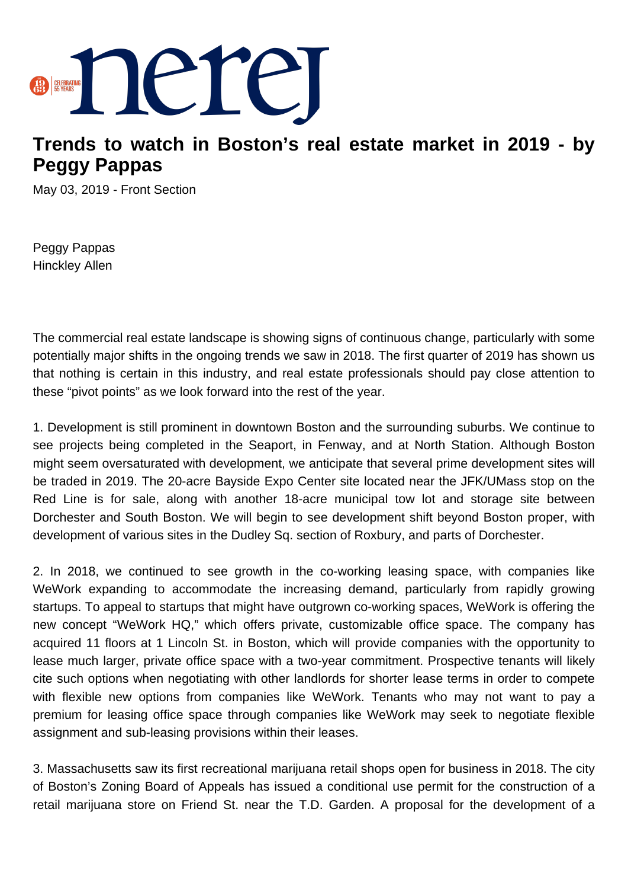

## **Trends to watch in Boston's real estate market in 2019 - by Peggy Pappas**

May 03, 2019 - Front Section

Peggy Pappas Hinckley Allen

The commercial real estate landscape is showing signs of continuous change, particularly with some potentially major shifts in the ongoing trends we saw in 2018. The first quarter of 2019 has shown us that nothing is certain in this industry, and real estate professionals should pay close attention to these "pivot points" as we look forward into the rest of the year.

1. Development is still prominent in downtown Boston and the surrounding suburbs. We continue to see projects being completed in the Seaport, in Fenway, and at North Station. Although Boston might seem oversaturated with development, we anticipate that several prime development sites will be traded in 2019. The 20-acre Bayside Expo Center site located near the JFK/UMass stop on the Red Line is for sale, along with another 18-acre municipal tow lot and storage site between Dorchester and South Boston. We will begin to see development shift beyond Boston proper, with development of various sites in the Dudley Sq. section of Roxbury, and parts of Dorchester.

2. In 2018, we continued to see growth in the co-working leasing space, with companies like WeWork expanding to accommodate the increasing demand, particularly from rapidly growing startups. To appeal to startups that might have outgrown co-working spaces, WeWork is offering the new concept "WeWork HQ," which offers private, customizable office space. The company has acquired 11 floors at 1 Lincoln St. in Boston, which will provide companies with the opportunity to lease much larger, private office space with a two-year commitment. Prospective tenants will likely cite such options when negotiating with other landlords for shorter lease terms in order to compete with flexible new options from companies like WeWork. Tenants who may not want to pay a premium for leasing office space through companies like WeWork may seek to negotiate flexible assignment and sub-leasing provisions within their leases.

3. Massachusetts saw its first recreational marijuana retail shops open for business in 2018. The city of Boston's Zoning Board of Appeals has issued a conditional use permit for the construction of a retail marijuana store on Friend St. near the T.D. Garden. A proposal for the development of a